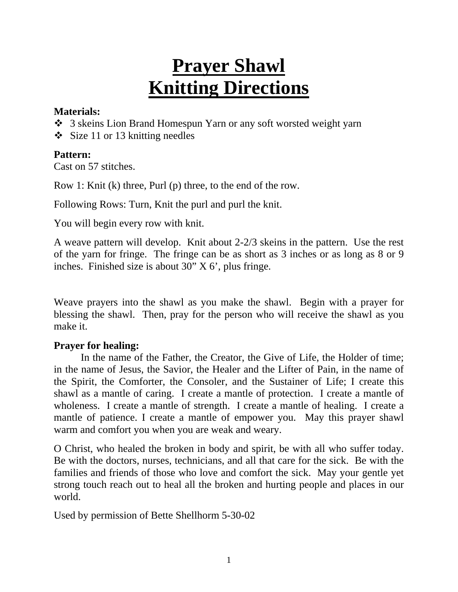# **Prayer Shawl Knitting Directions**

#### **Materials:**

- 3 skeins Lion Brand Homespun Yarn or any soft worsted weight yarn
- $\div$  Size 11 or 13 knitting needles

## **Pattern:**

Cast on 57 stitches.

Row 1: Knit (k) three, Purl (p) three, to the end of the row.

Following Rows: Turn, Knit the purl and purl the knit.

You will begin every row with knit.

A weave pattern will develop. Knit about 2-2/3 skeins in the pattern. Use the rest of the yarn for fringe. The fringe can be as short as 3 inches or as long as 8 or 9 inches. Finished size is about 30" X 6', plus fringe.

Weave prayers into the shawl as you make the shawl. Begin with a prayer for blessing the shawl. Then, pray for the person who will receive the shawl as you make it.

### **Prayer for healing:**

 In the name of the Father, the Creator, the Give of Life, the Holder of time; in the name of Jesus, the Savior, the Healer and the Lifter of Pain, in the name of the Spirit, the Comforter, the Consoler, and the Sustainer of Life; I create this shawl as a mantle of caring. I create a mantle of protection. I create a mantle of wholeness. I create a mantle of strength. I create a mantle of healing. I create a mantle of patience. I create a mantle of empower you. May this prayer shawl warm and comfort you when you are weak and weary.

O Christ, who healed the broken in body and spirit, be with all who suffer today. Be with the doctors, nurses, technicians, and all that care for the sick. Be with the families and friends of those who love and comfort the sick. May your gentle yet strong touch reach out to heal all the broken and hurting people and places in our world.

Used by permission of Bette Shellhorm 5-30-02